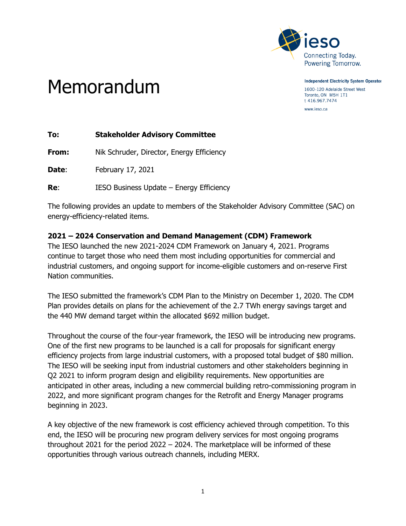

Memorandum

**Independent Electricity System Operator** 

1600-120 Adelaide Street West Toronto, ON M5H 1T1 t 416.967.7474

www.ieso.ca

**To: Stakeholder Advisory Committee**

**From:** Nik Schruder, Director, Energy Efficiency

**Date:** February 17, 2021

**Re:** IESO Business Update – Energy Efficiency

The following provides an update to members of the Stakeholder Advisory Committee (SAC) on energy-efficiency-related items.

## **2021 – 2024 Conservation and Demand Management (CDM) Framework**

The IESO launched the new 2021-2024 CDM Framework on January 4, 2021. Programs continue to target those who need them most including opportunities for commercial and industrial customers, and ongoing support for income-eligible customers and on-reserve First Nation communities.

The IESO submitted the framework's CDM Plan to the Ministry on December 1, 2020. The CDM Plan provides details on plans for the achievement of the 2.7 TWh energy savings target and the 440 MW demand target within the allocated \$692 million budget.

Throughout the course of the four-year framework, the IESO will be introducing new programs. One of the first new programs to be launched is a call for proposals for significant energy efficiency projects from large industrial customers, with a proposed total budget of \$80 million. The IESO will be seeking input from industrial customers and other stakeholders beginning in Q2 2021 to inform program design and eligibility requirements. New opportunities are anticipated in other areas, including a new commercial building retro-commissioning program in 2022, and more significant program changes for the Retrofit and Energy Manager programs beginning in 2023.

A key objective of the new framework is cost efficiency achieved through competition. To this end, the IESO will be procuring new program delivery services for most ongoing programs throughout 2021 for the period 2022 – 2024. The marketplace will be informed of these opportunities through various outreach channels, including MERX.